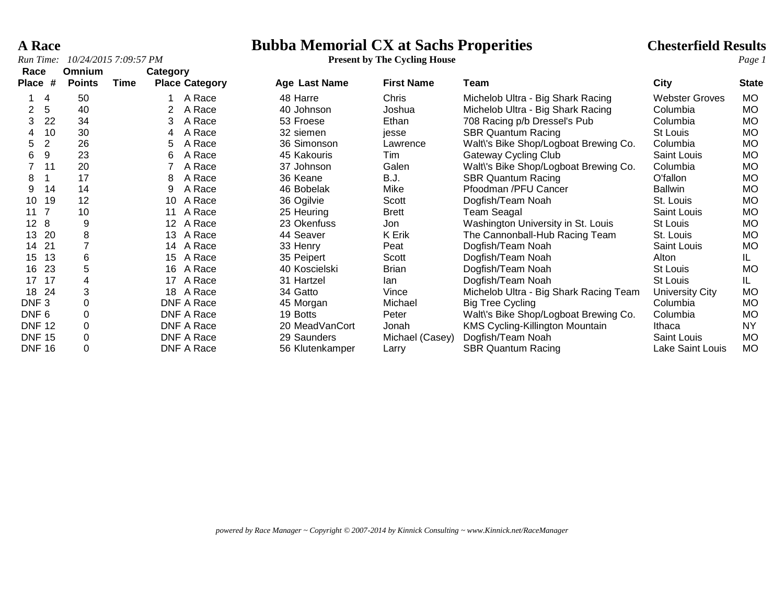# **A Race**<br> **Bubba Memorial CX at Sachs Properities**<br> **Present by The Cycling House**<br> **Present by The Cycling House**

| Race                 | <b>Omnium</b> | Category |    |                       |                 |                   |                                        |                       |              |
|----------------------|---------------|----------|----|-----------------------|-----------------|-------------------|----------------------------------------|-----------------------|--------------|
| #<br><b>Place</b>    | <b>Points</b> | Time     |    | <b>Place Category</b> | Age Last Name   | <b>First Name</b> | Team                                   | <b>City</b>           | <b>State</b> |
| 4                    | 50            |          |    | A Race                | 48 Harre        | Chris             | Michelob Ultra - Big Shark Racing      | <b>Webster Groves</b> | MO.          |
| 5<br>2               | 40            |          |    | A Race                | 40 Johnson      | Joshua            | Michelob Ultra - Big Shark Racing      | Columbia              | <b>MO</b>    |
| 22<br>3              | 34            |          | 3  | A Race                | 53 Froese       | Ethan             | 708 Racing p/b Dressel's Pub           | Columbia              | <b>MO</b>    |
| 10                   | 30            |          | 4  | A Race                | 32 siemen       | jesse             | <b>SBR Quantum Racing</b>              | St Louis              | <b>MO</b>    |
| $\overline{2}$<br>5  | 26            |          | 5. | A Race                | 36 Simonson     | Lawrence          | Walt's Bike Shop/Logboat Brewing Co.   | Columbia              | MO.          |
| 9<br>6               | 23            |          | 6  | A Race                | 45 Kakouris     | Tim               | <b>Gateway Cycling Club</b>            | Saint Louis           | MO.          |
| 11                   | 20            |          |    | A Race                | 37 Johnson      | Galen             | Walt's Bike Shop/Logboat Brewing Co.   | Columbia              | <b>MO</b>    |
| 8                    | 17            |          | 8  | A Race                | 36 Keane        | B.J.              | <b>SBR Quantum Racing</b>              | O'fallon              | <b>MO</b>    |
| 14<br>9              | 14            |          | 9  | A Race                | 46 Bobelak      | Mike              | Pfoodman /PFU Cancer                   | <b>Ballwin</b>        | <b>MO</b>    |
| 10<br>19             | 12            |          | 10 | A Race                | 36 Ogilvie      | Scott             | Dogfish/Team Noah                      | St. Louis             | MO.          |
| 11                   | 10            |          | 11 | A Race                | 25 Heuring      | <b>Brett</b>      | Team Seagal                            | Saint Louis           | <b>MO</b>    |
| 12 <sup>2</sup><br>8 | 9             |          | 12 | A Race                | 23 Okenfuss     | Jon               | Washington University in St. Louis     | St Louis              | MO.          |
| 20<br>13             | 8             |          | 13 | A Race                | 44 Seaver       | K Erik            | The Cannonball-Hub Racing Team         | St. Louis             | MO.          |
| 21<br>14             |               |          |    | 14 A Race             | 33 Henry        | Peat              | Dogfish/Team Noah                      | Saint Louis           | <b>MO</b>    |
| 13<br>15             | 6             |          | 15 | A Race                | 35 Peipert      | Scott             | Dogfish/Team Noah                      | Alton                 | IL.          |
| 23<br>16             | 5             |          | 16 | A Race                | 40 Koscielski   | <b>Brian</b>      | Dogfish/Team Noah                      | St Louis              | МO           |
| 17<br>17             | 4             |          | 17 | A Race                | 31 Hartzel      | lan               | Dogfish/Team Noah                      | St Louis              | IL.          |
| 24<br>18             | 3             |          | 18 | A Race                | 34 Gatto        | Vince             | Michelob Ultra - Big Shark Racing Team | University City       | MO           |
| DNF <sub>3</sub>     |               |          |    | DNF A Race            | 45 Morgan       | Michael           | <b>Big Tree Cycling</b>                | Columbia              | <b>MO</b>    |
| DNF <sub>6</sub>     | 0             |          |    | DNF A Race            | 19 Botts        | Peter             | Walt's Bike Shop/Logboat Brewing Co.   | Columbia              | <b>MO</b>    |
| <b>DNF 12</b>        | 0             |          |    | DNF A Race            | 20 MeadVanCort  | Jonah             | <b>KMS Cycling-Killington Mountain</b> | Ithaca                | ΝY           |
| <b>DNF 15</b>        | 0             |          |    | DNF A Race            | 29 Saunders     | Michael (Casey)   | Dogfish/Team Noah                      | Saint Louis           | <b>MO</b>    |
| <b>DNF 16</b>        |               |          |    | <b>DNF A Race</b>     | 56 Klutenkamper | Larry             | <b>SBR Quantum Racing</b>              | Lake Saint Louis      | МO           |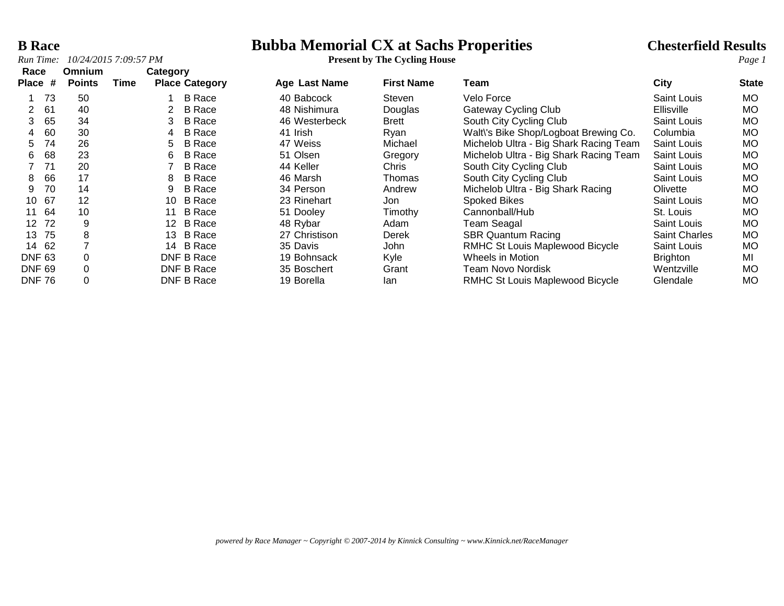# **B Race**<br> **Bubba Memorial CX at Sachs Properities**<br> **Bubba Memorial CX at Sachs Properities**<br> **Chesterfield Results**<br> *Page 1*

| Race                  | Omnium        | Category |                       |               |                   |                                        |                      |              |
|-----------------------|---------------|----------|-----------------------|---------------|-------------------|----------------------------------------|----------------------|--------------|
| Place #               | <b>Points</b> | Time     | <b>Place Category</b> | Age Last Name | <b>First Name</b> | Team                                   | City                 | <b>State</b> |
| 73                    | 50            |          | <b>B</b> Race         | 40 Babcock    | Steven            | Velo Force                             | Saint Louis          | <b>MO</b>    |
| 61                    | 40            | 2        | <b>B</b> Race         | 48 Nishimura  | Douglas           | <b>Gateway Cycling Club</b>            | <b>Ellisville</b>    | <b>MO</b>    |
| 65                    | 34            | 3        | <b>B</b> Race         | 46 Westerbeck | <b>Brett</b>      | South City Cycling Club                | <b>Saint Louis</b>   | <b>MO</b>    |
| 60                    | 30            | 4        | <b>B</b> Race         | 41 Irish      | Rvan              | Walt\'s Bike Shop/Logboat Brewing Co.  | Columbia             | <b>MO</b>    |
| 74<br>5               | 26            | 5        | <b>B</b> Race         | 47 Weiss      | Michael           | Michelob Ultra - Big Shark Racing Team | Saint Louis          | <b>MO</b>    |
| 68<br>6               | 23            | 6        | <b>B</b> Race         | 51 Olsen      | Gregory           | Michelob Ultra - Big Shark Racing Team | <b>Saint Louis</b>   | <b>MO</b>    |
| 71                    | 20            |          | <b>B</b> Race         | 44 Keller     | <b>Chris</b>      | South City Cycling Club                | <b>Saint Louis</b>   | <b>MO</b>    |
| 66<br>8               | 17            | 8        | <b>B</b> Race         | 46 Marsh      | Thomas            | South City Cycling Club                | <b>Saint Louis</b>   | <b>MO</b>    |
| 70<br>9               | 14            | 9        | <b>B</b> Race         | 34 Person     | Andrew            | Michelob Ultra - Big Shark Racing      | Olivette             | <b>MO</b>    |
| 67<br>10              | 12            | 10       | B Race                | 23 Rinehart   | Jon.              | <b>Spoked Bikes</b>                    | <b>Saint Louis</b>   | <b>MO</b>    |
| 64<br>11              | 10            | 11       | <b>B</b> Race         | 51 Dooley     | Timothy           | Cannonball/Hub                         | St. Louis            | <b>MO</b>    |
| 72<br>12 <sup>°</sup> | 9             |          | 12 B Race             | 48 Rybar      | Adam              | <b>Team Seagal</b>                     | <b>Saint Louis</b>   | <b>MO</b>    |
| 75<br>13              | 8             | 13       | B Race                | 27 Christison | Derek             | <b>SBR Quantum Racing</b>              | <b>Saint Charles</b> | <b>MO</b>    |
| 62<br>14              |               | 14       | B Race                | 35 Davis      | John              | RMHC St Louis Maplewood Bicycle        | <b>Saint Louis</b>   | <b>MO</b>    |
| <b>DNF 63</b>         |               |          | DNF B Race            | 19 Bohnsack   | Kyle              | Wheels in Motion                       | <b>Brighton</b>      | MI           |
| <b>DNF 69</b>         |               |          | DNF B Race            | 35 Boschert   | Grant             | Team Novo Nordisk                      | Wentzville           | <b>MO</b>    |
| <b>DNF 76</b>         |               |          | DNF B Race            | 19 Borella    | lan               | RMHC St Louis Maplewood Bicycle        | Glendale             | <b>MO</b>    |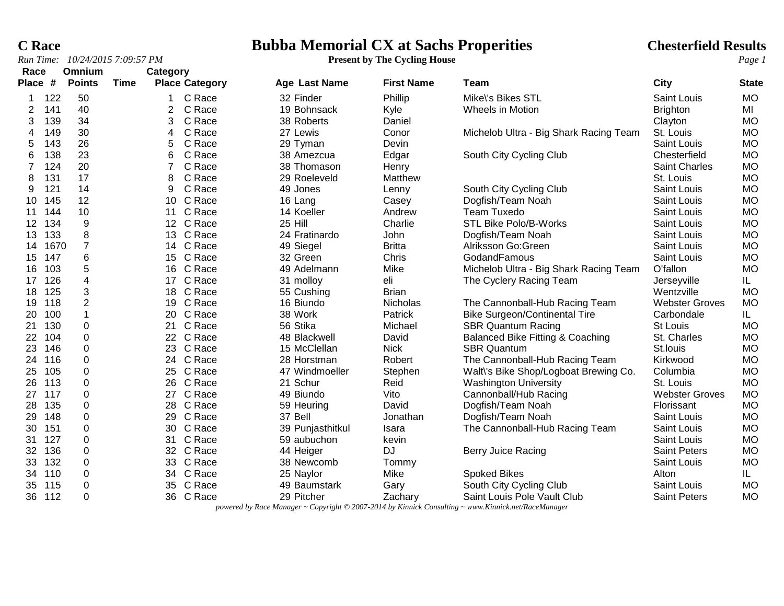# **C Race**<br> **Bubba Memorial CX at Sachs Properities**<br> **Present by The Cycling House**<br> **Present by The Cycling House**

| Race<br>Place # |      | Omnium<br><b>Points</b> | Time | Category | <b>Place Category</b> |                      | <b>First Name</b> | Team                                        | <b>City</b>           |              |
|-----------------|------|-------------------------|------|----------|-----------------------|----------------------|-------------------|---------------------------------------------|-----------------------|--------------|
|                 |      |                         |      |          |                       | <b>Age Last Name</b> |                   |                                             |                       | <b>State</b> |
|                 | 122  | 50                      |      |          | C Race                | 32 Finder            | Phillip           | Mike\'s Bikes STL                           | <b>Saint Louis</b>    | <b>MO</b>    |
| 2               | 141  | 40                      |      | 2        | C Race                | 19 Bohnsack          | Kyle              | Wheels in Motion                            | <b>Brighton</b>       | MI           |
| 3               | 139  | 34                      |      | 3        | C Race                | 38 Roberts           | Daniel            |                                             | Clayton               | <b>MO</b>    |
| 4               | 149  | 30                      |      | 4        | C Race                | 27 Lewis             | Conor             | Michelob Ultra - Big Shark Racing Team      | St. Louis             | <b>MO</b>    |
| 5               | 143  | 26                      |      | 5        | C Race                | 29 Tyman             | Devin             |                                             | Saint Louis           | <b>MO</b>    |
| 6               | 138  | 23                      |      | 6        | C Race                | 38 Amezcua           | Edgar             | South City Cycling Club                     | Chesterfield          | <b>MO</b>    |
| 7               | 124  | 20                      |      | 7        | C Race                | 38 Thomason          | Henry             |                                             | <b>Saint Charles</b>  | <b>MO</b>    |
| 8               | 131  | 17                      |      | 8        | C Race                | 29 Roeleveld         | Matthew           |                                             | St. Louis             | <b>MO</b>    |
| 9               | 121  | 14                      |      | 9        | C Race                | 49 Jones             | Lenny             | South City Cycling Club                     | Saint Louis           | <b>MO</b>    |
| 10              | 145  | 12                      |      |          | 10 C Race             | 16 Lang              | Casey             | Dogfish/Team Noah                           | Saint Louis           | <b>MO</b>    |
| 11              | 144  | 10                      |      | 11       | C Race                | 14 Koeller           | Andrew            | <b>Team Tuxedo</b>                          | <b>Saint Louis</b>    | <b>MO</b>    |
| 12              | 134  | $\boldsymbol{9}$        |      |          | 12 C Race             | 25 Hill              | Charlie           | <b>STL Bike Polo/B-Works</b>                | Saint Louis           | <b>MO</b>    |
| 13              | 133  | 8                       |      | 13       | C Race                | 24 Fratinardo        | John              | Dogfish/Team Noah                           | Saint Louis           | <b>MO</b>    |
| 14              | 1670 | $\overline{7}$          |      | 14       | C Race                | 49 Siegel            | <b>Britta</b>     | Alriksson Go:Green                          | Saint Louis           | <b>MO</b>    |
| 15              | 147  | 6                       |      | 15       | C Race                | 32 Green             | Chris             | GodandFamous                                | Saint Louis           | <b>MO</b>    |
| 16              | 103  | $\,$ 5 $\,$             |      | 16       | C Race                | 49 Adelmann          | Mike              | Michelob Ultra - Big Shark Racing Team      | O'fallon              | <b>MO</b>    |
| 17              | 126  | $\overline{4}$          |      | 17       | C Race                | 31 molloy            | eli               | The Cyclery Racing Team                     | Jerseyville           | IL           |
| 18              | 125  | 3                       |      | 18       | C Race                | 55 Cushing           | <b>Brian</b>      |                                             | Wentzville            | <b>MO</b>    |
| 19              | 118  | $\overline{c}$          |      | 19       | C Race                | 16 Biundo            | Nicholas          | The Cannonball-Hub Racing Team              | <b>Webster Groves</b> | <b>MO</b>    |
| 20              | 100  | $\mathbf{1}$            |      |          | 20 C Race             | 38 Work              | Patrick           | <b>Bike Surgeon/Continental Tire</b>        | Carbondale            | IL.          |
| 21              | 130  | 0                       |      | 21       | C Race                | 56 Stika             | Michael           | <b>SBR Quantum Racing</b>                   | <b>St Louis</b>       | <b>MO</b>    |
| 22              | 104  | 0                       |      |          | 22 C Race             | 48 Blackwell         | David             | <b>Balanced Bike Fitting &amp; Coaching</b> | St. Charles           | <b>MO</b>    |
| 23              | 146  | 0                       |      |          | 23 C Race             | 15 McClellan         | <b>Nick</b>       | <b>SBR Quantum</b>                          | St.louis              | <b>MO</b>    |
| 24              | 116  | 0                       |      |          | 24 C Race             | 28 Horstman          | Robert            | The Cannonball-Hub Racing Team              | Kirkwood              | <b>MO</b>    |
| 25              | 105  | 0                       |      | 25       | C Race                | 47 Windmoeller       | Stephen           | Walt\'s Bike Shop/Logboat Brewing Co.       | Columbia              | <b>MO</b>    |
| 26              | 113  | $\mathbf 0$             |      | 26       | C Race                | 21 Schur             | Reid              | <b>Washington University</b>                | St. Louis             | <b>MO</b>    |
| 27              | 117  | $\mathbf 0$             |      | 27       | C Race                | 49 Biundo            | Vito              | Cannonball/Hub Racing                       | <b>Webster Groves</b> | <b>MO</b>    |
| 28              | 135  | 0                       |      | 28       | C Race                | 59 Heuring           | David             | Dogfish/Team Noah                           | Florissant            | <b>MO</b>    |
| 29              | 148  | $\mathbf 0$             |      | 29       | C Race                | 37 Bell              | Jonathan          | Dogfish/Team Noah                           | Saint Louis           | <b>MO</b>    |
| 30              | 151  | $\mathbf 0$             |      |          | 30 C Race             | 39 Punjasthitkul     | Isara             | The Cannonball-Hub Racing Team              | Saint Louis           | <b>MO</b>    |
| 31              | 127  | 0                       |      | 31       | C Race                | 59 aubuchon          | kevin             |                                             | Saint Louis           | <b>MO</b>    |
| 32              | 136  | 0                       |      |          | 32 C Race             | 44 Heiger            | DJ                | Berry Juice Racing                          | <b>Saint Peters</b>   | <b>MO</b>    |
| 33              | 132  | $\pmb{0}$               |      | 33       | C Race                | 38 Newcomb           | Tommy             |                                             | Saint Louis           | <b>MO</b>    |
| 34              | 110  | $\mathbf 0$             |      |          | 34 C Race             | 25 Naylor            | Mike              | <b>Spoked Bikes</b>                         | Alton                 | IL.          |
| 35              | 115  | $\mathbf 0$             |      | 35       | C Race                | 49 Baumstark         | Gary              | South City Cycling Club                     | Saint Louis           | <b>MO</b>    |
| 36              | 112  | $\mathbf 0$             |      |          | 36 C Race             | 29 Pitcher           | Zachary           | Saint Louis Pole Vault Club                 | <b>Saint Peters</b>   | <b>MO</b>    |

*powered by Race Manager ~ Copyright © 2007-2014 by Kinnick Consulting ~ www.Kinnick.net/RaceManager*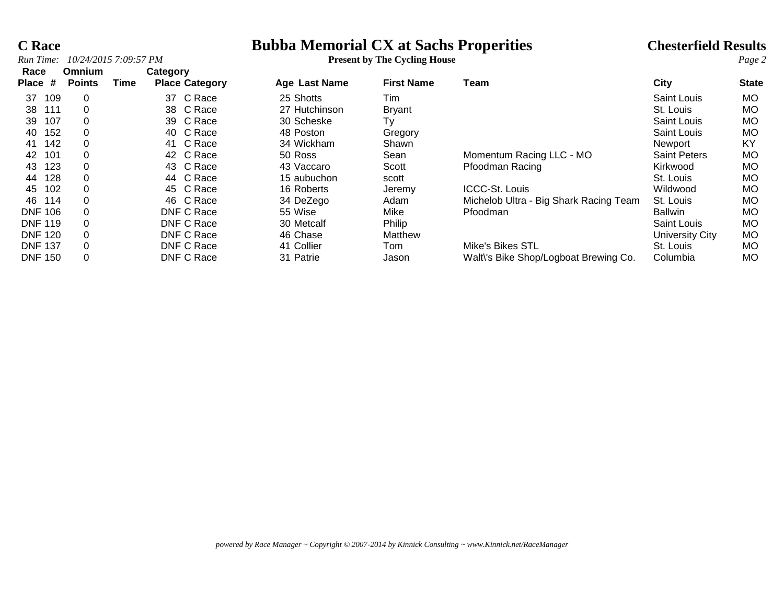### **C Race**<br> **Bubba Memorial CX at Sachs Properities**<br> **Present by The Cycling House**<br> **Page 2**<br> **Chesterfield Results**<br> **Page 2**

|      | Run Time: 10/24/2015 7:09:57 PM |          | <b>Present by The Cycling House</b> |
|------|---------------------------------|----------|-------------------------------------|
| Race | <b>Omnium</b>                   | Category |                                     |

| Race              | Omnium        |      | Category              |                      |                   |                                        |                     |              |
|-------------------|---------------|------|-----------------------|----------------------|-------------------|----------------------------------------|---------------------|--------------|
| #<br><b>Place</b> | <b>Points</b> | Time | <b>Place Category</b> | <b>Age Last Name</b> | <b>First Name</b> | Team                                   | City                | <b>State</b> |
| 109<br>37         | 0             |      | C Race<br>37          | 25 Shotts            | Tim               |                                        | Saint Louis         | <b>MO</b>    |
| 38<br>111         | 0             |      | C Race<br>38          | 27 Hutchinson        | <b>Bryant</b>     |                                        | St. Louis           | <b>MO</b>    |
| 107<br>39         | 0             |      | C Race<br>39          | 30 Scheske           | Тy                |                                        | Saint Louis         | <b>MO</b>    |
| 152<br>40         | 0             |      | C Race<br>40          | 48 Poston            | Gregory           |                                        | Saint Louis         | <b>MO</b>    |
| 142<br>41         | 0             |      | C Race<br>41          | 34 Wickham           | Shawn             |                                        | Newport             | KY           |
| 101<br>42         | 0             |      | C Race<br>42          | 50 Ross              | Sean              | Momentum Racing LLC - MO               | <b>Saint Peters</b> | <b>MO</b>    |
| 123<br>43         | 0             |      | C Race<br>43          | 43 Vaccaro           | Scott             | Pfoodman Racing                        | Kirkwood            | <b>MO</b>    |
| 128<br>44         | 0             |      | C Race<br>44          | 15 aubuchon          | scott             |                                        | St. Louis           | MO.          |
| 102<br>45         | 0             |      | C Race<br>45          | 16 Roberts           | Jeremy            | <b>ICCC-St. Louis</b>                  | Wildwood            | <b>MO</b>    |
| 46.<br>114        | 0             |      | C Race<br>46          | 34 DeZego            | Adam              | Michelob Ultra - Big Shark Racing Team | St. Louis           | <b>MO</b>    |
| <b>DNF 106</b>    |               |      | DNF C Race            | 55 Wise              | Mike              | Pfoodman                               | <b>Ballwin</b>      | <b>MO</b>    |
| <b>DNF 119</b>    | 0             |      | DNF C Race            | 30 Metcalf           | Philip            |                                        | Saint Louis         | <b>MO</b>    |
| <b>DNF 120</b>    | 0             |      | DNF C Race            | 46 Chase             | Matthew           |                                        | University City     | <b>MO</b>    |
| <b>DNF 137</b>    | 0             |      | DNF C Race            | 41 Collier           | Tom               | Mike's Bikes STL                       | St. Louis           | <b>MO</b>    |
| <b>DNF 150</b>    | 0             |      | DNF C Race            | 31 Patrie            | Jason             | Walt\'s Bike Shop/Logboat Brewing Co.  | Columbia            | <b>MO</b>    |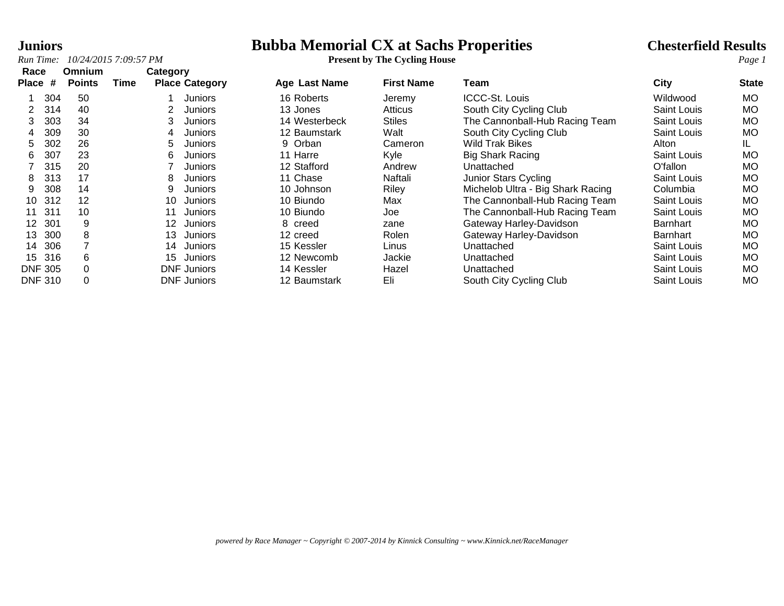# **Juniors**<br> **Bubba Memorial CX at Sachs Properities**<br> **Present by The Cycling House**<br> **Present by The Cycling House**

| Race                   | Omnium        |      | Category                   |                      |                   |                                   |                    |              |
|------------------------|---------------|------|----------------------------|----------------------|-------------------|-----------------------------------|--------------------|--------------|
| <b>Place</b><br>#      | <b>Points</b> | Time | <b>Place Category</b>      | <b>Age Last Name</b> | <b>First Name</b> | Team                              | City               | <b>State</b> |
| 304                    | 50            |      | Juniors                    | 16 Roberts           | Jeremy            | ICCC-St. Louis                    | Wildwood           | МO           |
| 314<br>2               | 40            |      | Juniors                    | 13 Jones             | Atticus           | South City Cycling Club           | Saint Louis        | МO           |
| 303<br>3               | 34            |      | Juniors                    | 14 Westerbeck        | <b>Stiles</b>     | The Cannonball-Hub Racing Team    | <b>Saint Louis</b> | МO           |
| 309<br>4               | 30            |      | 4<br>Juniors               | 12 Baumstark         | Walt              | South City Cycling Club           | <b>Saint Louis</b> | МO           |
| 302<br>5               | 26            |      | 5<br>Juniors               | 9 Orban              | Cameron           | Wild Trak Bikes                   | Alton              | IL           |
| 307<br>6               | 23            |      | 6<br>Juniors               | 11 Harre             | Kyle              | <b>Big Shark Racing</b>           | Saint Louis        | МO           |
| 315                    | 20            |      | Juniors                    | 12 Stafford          | Andrew            | Unattached                        | O'fallon           | MO           |
| 313<br>8               | 17            |      | 8<br>Juniors               | 11 Chase             | Naftali           | Junior Stars Cycling              | Saint Louis        | МO           |
| 308<br>9               | 14            |      | 9<br>Juniors               | 10 Johnson           | Riley             | Michelob Ultra - Big Shark Racing | Columbia           | МO           |
| 312<br>10              | $12 \,$       |      | 10<br>Juniors              | 10 Biundo            | Max               | The Cannonball-Hub Racing Team    | Saint Louis        | МO           |
| 311<br>11              | 10            |      | 11<br>Juniors              | 10 Biundo            | Joe               | The Cannonball-Hub Racing Team    | Saint Louis        | МO           |
| 301<br>12 <sup>°</sup> | 9             |      | 12 <sup>°</sup><br>Juniors | 8 creed              | zane              | Gateway Harley-Davidson           | Barnhart           | МO           |
| 300<br>13              | 8             |      | 13<br>Juniors              | 12 creed             | Rolen             | Gateway Harley-Davidson           | <b>Barnhart</b>    | МO           |
| 306<br>14              |               |      | 14<br>Juniors              | 15 Kessler           | Linus             | Unattached                        | <b>Saint Louis</b> | МO           |
| 316<br>15              | 6             |      | 15<br>Juniors              | 12 Newcomb           | Jackie            | Unattached                        | Saint Louis        | МO           |
| <b>DNF 305</b>         |               |      | <b>DNF Juniors</b>         | 14 Kessler           | Hazel             | Unattached                        | Saint Louis        | МO           |
| <b>DNF 310</b>         |               |      | <b>DNF Juniors</b>         | 12 Baumstark         | Eli               | South City Cycling Club           | Saint Louis        | МO           |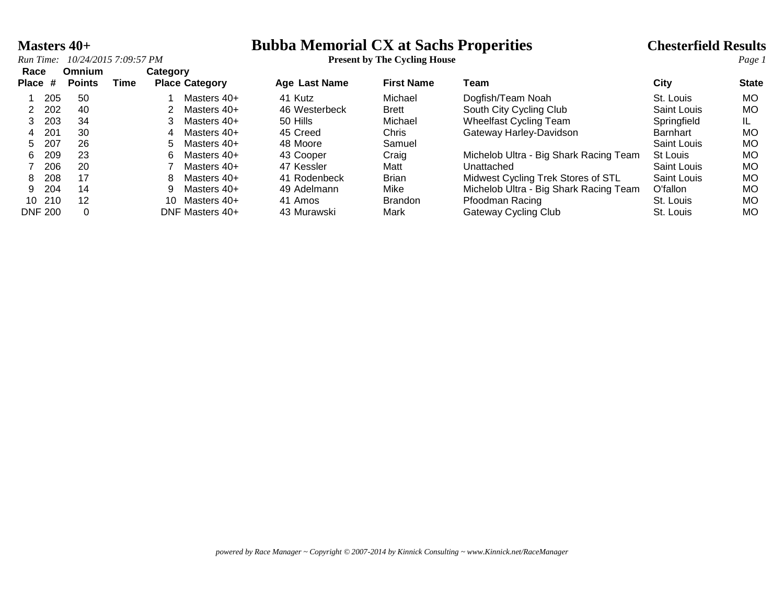### **Masters 40+ Bubba Memorial CX at Sachs Properities Chesterfield Results** *Run Time:* 10/24/2015 7:09:57 PM **Properition Constant Properities** *Page 1*

| Race<br>Place # | Omnium<br><b>Points</b> | Time | Category | <b>Place Category</b> | <b>Age Last Name</b> | <b>First Name</b> | Team                                   | City        | <b>State</b> |
|-----------------|-------------------------|------|----------|-----------------------|----------------------|-------------------|----------------------------------------|-------------|--------------|
| 205             | 50                      |      |          | Masters 40+           | 41 Kutz              | Michael           | Dogfish/Team Noah                      | St. Louis   | <b>MO</b>    |
| 202             | 40                      |      |          | Masters 40+           | 46 Westerbeck        | <b>Brett</b>      | South City Cycling Club                | Saint Louis | <b>MO</b>    |
| 203             | 34                      |      |          | Masters 40+           | 50 Hills             | Michael           | <b>Wheelfast Cycling Team</b>          | Springfield |              |
| 201<br>4        | 30                      |      | 4        | Masters 40+           | 45 Creed             | Chris             | Gateway Harley-Davidson                | Barnhart    | МO           |
| 207<br>5.       | 26                      |      | 5        | Masters 40+           | 48 Moore             | Samuel            |                                        | Saint Louis | <b>MO</b>    |
| 209<br>6.       | 23                      |      | հ        | Masters $40+$         | 43 Cooper            | Craig             | Michelob Ultra - Big Shark Racing Team | St Louis    | <b>MO</b>    |
| 206             | 20                      |      |          | Masters 40+           | 47 Kessler           | Matt              | Unattached                             | Saint Louis | <b>MO</b>    |
| 208<br>8        | 17                      |      |          | Masters 40+           | 41 Rodenbeck         | <b>Brian</b>      | Midwest Cycling Trek Stores of STL     | Saint Louis | <b>MO</b>    |
| 204<br>9.       | 14                      |      |          | Masters 40+           | 49 Adelmann          | Mike              | Michelob Ultra - Big Shark Racing Team | O'fallon    | МO           |
| 10 210          | 12                      |      | 10       | Masters 40+           | 41 Amos              | <b>Brandon</b>    | Pfoodman Racing                        | St. Louis   | <b>MO</b>    |
| <b>DNF 200</b>  |                         |      |          | DNF Masters 40+       | 43 Murawski          | Mark              | Gateway Cycling Club                   | St. Louis   | MO           |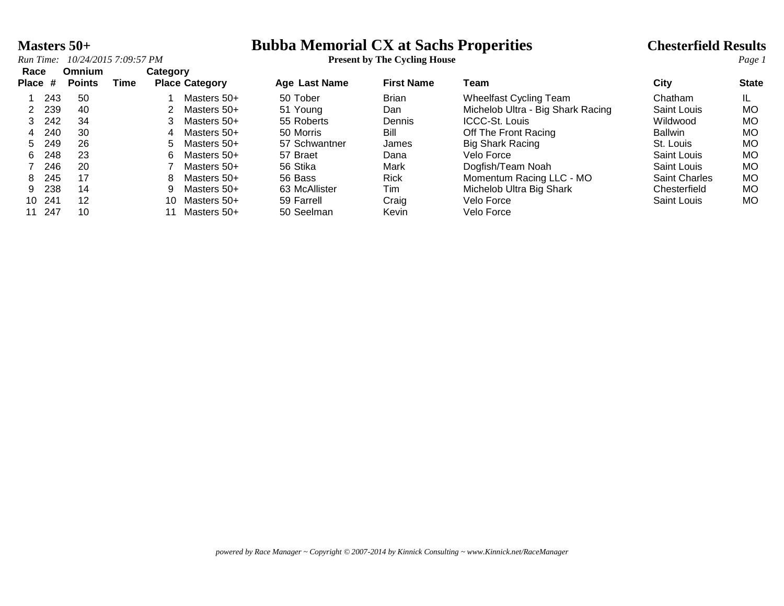# **Masters 50+ Bubba Memorial CX at Sachs Properities Chesterfield Results** *Run Time:* 10/24/2015 7:09:57 PM **Page 1 Constant Properition Constant Properities** *Page 1*

|  | Run Time: 10/24/2015 7:09:57 PM | <b>Present by The Cycling House</b> |
|--|---------------------------------|-------------------------------------|
|--|---------------------------------|-------------------------------------|

| Race    |        | <b>Omnium</b> |      |                       | Category    |               |                   |                                   |                      |              |
|---------|--------|---------------|------|-----------------------|-------------|---------------|-------------------|-----------------------------------|----------------------|--------------|
| Place # |        | <b>Points</b> | Time | <b>Place Category</b> |             | Age Last Name | <b>First Name</b> | Team                              | City                 | <b>State</b> |
|         | 243    | 50            |      |                       | Masters 50+ | 50 Tober      | <b>Brian</b>      | <b>Wheelfast Cycling Team</b>     | Chatham              | IL.          |
|         | 239    | -40           |      |                       | Masters 50+ | 51 Young      | Dan               | Michelob Ultra - Big Shark Racing | Saint Louis          | MO.          |
| 3.      | 242    | 34            |      |                       | Masters 50+ | 55 Roberts    | Dennis            | <b>ICCC-St. Louis</b>             | Wildwood             | MO           |
| 4       | 240    | 30            |      | 4                     | Masters 50+ | 50 Morris     | Bill              | Off The Front Racing              | <b>Ballwin</b>       | MO.          |
| 5.      | 249    | 26            |      | 5.                    | Masters 50+ | 57 Schwantner | James             | <b>Big Shark Racing</b>           | St. Louis            | MO.          |
| 6.      | 248    | 23            |      | 6.                    | Masters 50+ | 57 Braet      | Dana              | Velo Force                        | Saint Louis          | MO.          |
|         | 246    | -20           |      |                       | Masters 50+ | 56 Stika      | Mark              | Dogfish/Team Noah                 | Saint Louis          | MO.          |
| 8.      | 245    | 17            |      | 8                     | Masters 50+ | 56 Bass       | <b>Rick</b>       | Momentum Racing LLC - MO          | <b>Saint Charles</b> | <b>MO</b>    |
| 9.      | 238    | 14            |      | 9                     | Masters 50+ | 63 McAllister | Tim               | Michelob Ultra Big Shark          | Chesterfield         | MO.          |
|         | 10 241 | 12            |      | 10                    | Masters 50+ | 59 Farrell    | Craig             | Velo Force                        | Saint Louis          | MO.          |
| 11      | 247    | 10            |      |                       | Masters 50+ | 50 Seelman    | Kevin             | Velo Force                        |                      |              |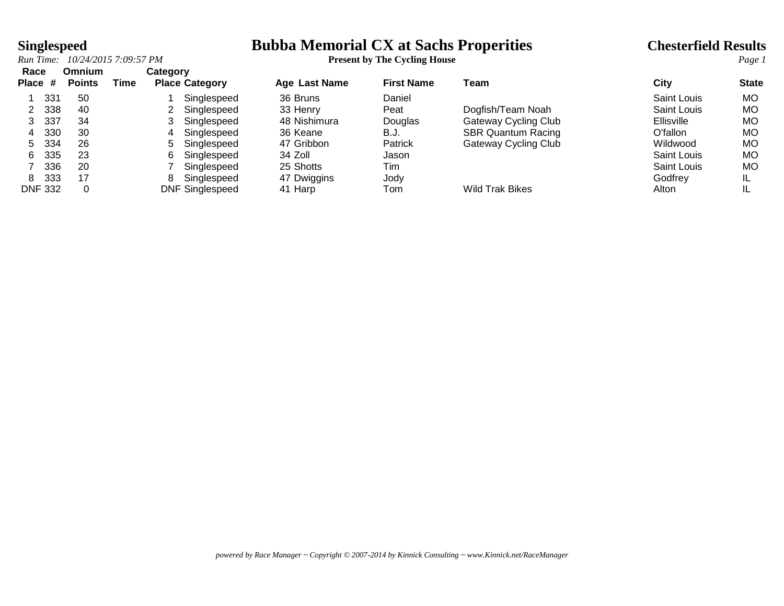### **Singlespeed**<br>*Run Time:* 10/24/2015 7:09:57 PM<br>**Run Time:** 10/24/2015 7:09:57 PM<br>**Run Time:** 10/24/2015 7:09:57 PM<br>**Page 1**

| Race<br>Place # |                | Omnium<br><b>Points</b> | Time | Category | <b>Place Category</b>  | <b>Age Last Name</b> | <b>First Name</b> | Team                        | Citv              | <b>State</b> |
|-----------------|----------------|-------------------------|------|----------|------------------------|----------------------|-------------------|-----------------------------|-------------------|--------------|
|                 | 331            | 50                      |      |          | Singlespeed            | 36 Bruns             | Daniel            |                             | Saint Louis       | MO.          |
|                 | 338            | 40                      |      |          | Singlespeed            | 33 Henry             | Peat              | Dogfish/Team Noah           | Saint Louis       | MO           |
|                 | 337            | 34                      |      |          | Singlespeed            | 48 Nishimura         | Douglas           | <b>Gateway Cycling Club</b> | <b>Ellisville</b> | MO           |
| 4               | 330            | 30                      |      | 4        | Singlespeed            | 36 Keane             | B.J.              | <b>SBR Quantum Racing</b>   | O'fallon          | MO           |
| 5.              | 334            | 26                      |      | 5        | Singlespeed            | 47 Gribbon           | Patrick           | Gateway Cycling Club        | Wildwood          | MO           |
| 6.              | 335            | 23                      |      | 6        | Singlespeed            | 34 Zoll              | Jason             |                             | Saint Louis       | MO           |
|                 | 336            | 20                      |      |          | Singlespeed            | 25 Shotts            | Tim               |                             | Saint Louis       | MO           |
| 8.              | 333            | 17                      |      | 8        | Singlespeed            | 47 Dwiggins          | Jody              |                             | Godfrey           | IL           |
|                 | <b>DNF 332</b> | 0                       |      |          | <b>DNF Singlespeed</b> | 41 Harp              | Tom               | <b>Wild Trak Bikes</b>      | Alton             | IL           |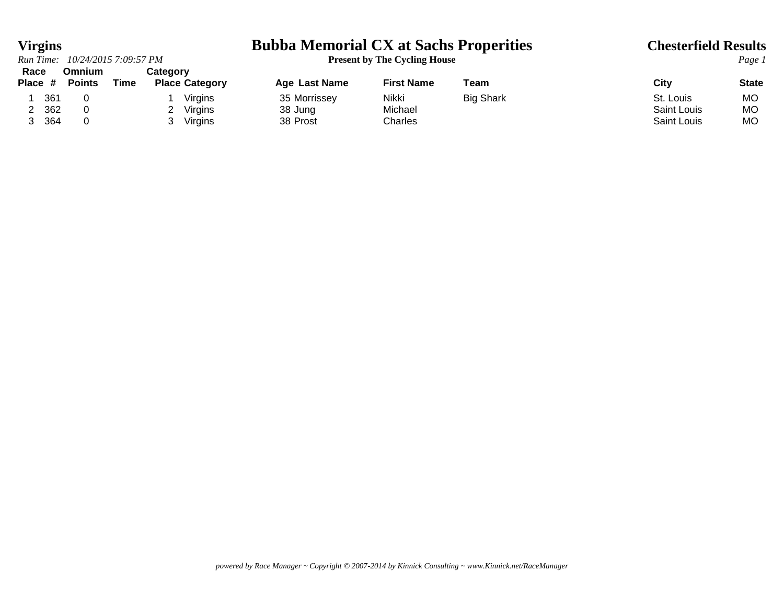### *Run Time: 10/24/2015 7:09:57 PM* **Present by The Cycling House** *Page 1* **Race Omnium Category**

### **Virgins Bubba Memorial CX at Sachs Properities Chesterfield Results**

| race    |     | UMMUM         |      | category |                       |               |                   |                  |             |              |
|---------|-----|---------------|------|----------|-----------------------|---------------|-------------------|------------------|-------------|--------------|
| Place # |     | <b>Points</b> | Time |          | <b>Place Category</b> | Age Last Name | <b>First Name</b> | ⊺eam             | City        | <b>State</b> |
|         | 361 |               |      |          | Virgins               | 35 Morrissey  | Nikki             | <b>Big Shark</b> | St. Louis   | MC           |
|         | 362 |               |      |          | Virgins               | 38 Jung       | Michael           |                  | Saint Louis | MC           |
|         | 364 |               |      |          | Virgins               | 38 Prost      | Charles           |                  | Saint Louis | MO           |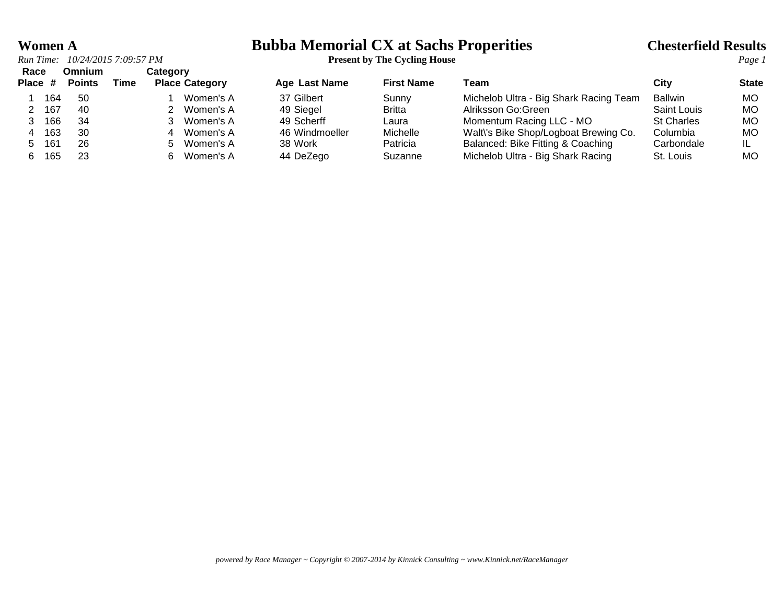### **Women A Bubba Memorial CX at Sachs Properities Chesterfield Results**

| Race      |     | Omnium        |      | Category |                       |                      |                   |                                        |                   |              |
|-----------|-----|---------------|------|----------|-----------------------|----------------------|-------------------|----------------------------------------|-------------------|--------------|
| Place #   |     | <b>Points</b> | Time |          | <b>Place Category</b> | <b>Age Last Name</b> | <b>First Name</b> | Team                                   | City              | <b>State</b> |
|           | 164 | -50           |      |          | Women's A             | 37 Gilbert           | Sunny             | Michelob Ultra - Big Shark Racing Team | <b>Ballwin</b>    | MO.          |
| 167       |     | 40            |      |          | Women's A             | 49 Siegel            | <b>Britta</b>     | Alriksson Go:Green                     | Saint Louis       | МO           |
|           | 166 | 34            |      |          | Women's A             | 49 Scherff           | Laura             | Momentum Racing LLC - MO               | <b>St Charles</b> | МO           |
|           | 163 | 30            |      | 4        | Women's A             | 46 Windmoeller       | Michelle          | Walt\'s Bike Shop/Logboat Brewing Co.  | Columbia          | МO           |
| 161<br>5. |     | 26            |      | 5.       | Women's A             | 38 Work              | Patricia          | Balanced: Bike Fitting & Coaching      | Carbondale        |              |
| 6.        | 165 | 23            |      | 6.       | Women's A             | 44 DeZego            | Suzanne           | Michelob Ultra - Big Shark Racing      | St. Louis         | MO           |